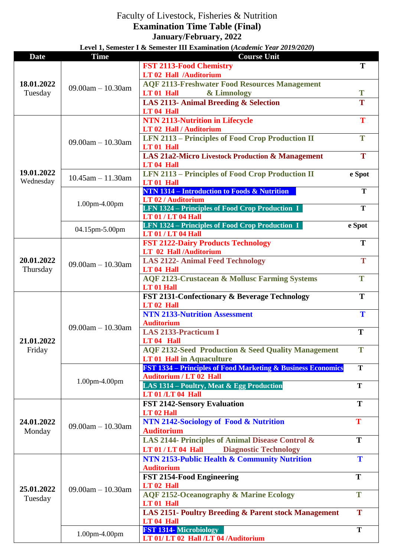## Faculty of Livestock, Fisheries & Nutrition

**Examination Time Table (Final) January/February, 2022** 

**Level 1, Semester I & Semester III Examination (***Academic Year 2019/2020***)**

| <b>Date</b>                                                                                       | <b>Time</b>             | <b>Course Unit</b>                                                                                                                                                                                                                                                                                                                                                                                                                                                                                                                                                                                                                                                                                                                                                                                                                                                                                                                                                                                                                                                                                                                                                                                                                                                                                                                                                                                                                                                                                                                                                                                                                                       |        |
|---------------------------------------------------------------------------------------------------|-------------------------|----------------------------------------------------------------------------------------------------------------------------------------------------------------------------------------------------------------------------------------------------------------------------------------------------------------------------------------------------------------------------------------------------------------------------------------------------------------------------------------------------------------------------------------------------------------------------------------------------------------------------------------------------------------------------------------------------------------------------------------------------------------------------------------------------------------------------------------------------------------------------------------------------------------------------------------------------------------------------------------------------------------------------------------------------------------------------------------------------------------------------------------------------------------------------------------------------------------------------------------------------------------------------------------------------------------------------------------------------------------------------------------------------------------------------------------------------------------------------------------------------------------------------------------------------------------------------------------------------------------------------------------------------------|--------|
|                                                                                                   | $09.00am - 10.30am$     | <b>FST 2113-Food Chemistry</b>                                                                                                                                                                                                                                                                                                                                                                                                                                                                                                                                                                                                                                                                                                                                                                                                                                                                                                                                                                                                                                                                                                                                                                                                                                                                                                                                                                                                                                                                                                                                                                                                                           | T      |
| 18.01.2022<br>Tuesday                                                                             |                         | LT 02 Hall /Auditorium                                                                                                                                                                                                                                                                                                                                                                                                                                                                                                                                                                                                                                                                                                                                                                                                                                                                                                                                                                                                                                                                                                                                                                                                                                                                                                                                                                                                                                                                                                                                                                                                                                   |        |
|                                                                                                   |                         | <b>AQF 2113-Freshwater Food Resources Management</b>                                                                                                                                                                                                                                                                                                                                                                                                                                                                                                                                                                                                                                                                                                                                                                                                                                                                                                                                                                                                                                                                                                                                                                                                                                                                                                                                                                                                                                                                                                                                                                                                     |        |
|                                                                                                   |                         | LT 01 Hall<br>& Limnology                                                                                                                                                                                                                                                                                                                                                                                                                                                                                                                                                                                                                                                                                                                                                                                                                                                                                                                                                                                                                                                                                                                                                                                                                                                                                                                                                                                                                                                                                                                                                                                                                                | T      |
|                                                                                                   |                         | LAS 2113- Animal Breeding & Selection                                                                                                                                                                                                                                                                                                                                                                                                                                                                                                                                                                                                                                                                                                                                                                                                                                                                                                                                                                                                                                                                                                                                                                                                                                                                                                                                                                                                                                                                                                                                                                                                                    | T      |
|                                                                                                   |                         | LT 04 Hall                                                                                                                                                                                                                                                                                                                                                                                                                                                                                                                                                                                                                                                                                                                                                                                                                                                                                                                                                                                                                                                                                                                                                                                                                                                                                                                                                                                                                                                                                                                                                                                                                                               |        |
|                                                                                                   |                         |                                                                                                                                                                                                                                                                                                                                                                                                                                                                                                                                                                                                                                                                                                                                                                                                                                                                                                                                                                                                                                                                                                                                                                                                                                                                                                                                                                                                                                                                                                                                                                                                                                                          | T      |
|                                                                                                   | $09.00am - 10.30am$     | <b>LT 02 Hall / Auditorium</b>                                                                                                                                                                                                                                                                                                                                                                                                                                                                                                                                                                                                                                                                                                                                                                                                                                                                                                                                                                                                                                                                                                                                                                                                                                                                                                                                                                                                                                                                                                                                                                                                                           |        |
|                                                                                                   |                         |                                                                                                                                                                                                                                                                                                                                                                                                                                                                                                                                                                                                                                                                                                                                                                                                                                                                                                                                                                                                                                                                                                                                                                                                                                                                                                                                                                                                                                                                                                                                                                                                                                                          | T      |
|                                                                                                   |                         |                                                                                                                                                                                                                                                                                                                                                                                                                                                                                                                                                                                                                                                                                                                                                                                                                                                                                                                                                                                                                                                                                                                                                                                                                                                                                                                                                                                                                                                                                                                                                                                                                                                          |        |
|                                                                                                   |                         |                                                                                                                                                                                                                                                                                                                                                                                                                                                                                                                                                                                                                                                                                                                                                                                                                                                                                                                                                                                                                                                                                                                                                                                                                                                                                                                                                                                                                                                                                                                                                                                                                                                          | T      |
|                                                                                                   | $10.45$ am $- 11.30$ am |                                                                                                                                                                                                                                                                                                                                                                                                                                                                                                                                                                                                                                                                                                                                                                                                                                                                                                                                                                                                                                                                                                                                                                                                                                                                                                                                                                                                                                                                                                                                                                                                                                                          |        |
|                                                                                                   |                         |                                                                                                                                                                                                                                                                                                                                                                                                                                                                                                                                                                                                                                                                                                                                                                                                                                                                                                                                                                                                                                                                                                                                                                                                                                                                                                                                                                                                                                                                                                                                                                                                                                                          | e Spot |
|                                                                                                   |                         |                                                                                                                                                                                                                                                                                                                                                                                                                                                                                                                                                                                                                                                                                                                                                                                                                                                                                                                                                                                                                                                                                                                                                                                                                                                                                                                                                                                                                                                                                                                                                                                                                                                          | T      |
|                                                                                                   |                         |                                                                                                                                                                                                                                                                                                                                                                                                                                                                                                                                                                                                                                                                                                                                                                                                                                                                                                                                                                                                                                                                                                                                                                                                                                                                                                                                                                                                                                                                                                                                                                                                                                                          |        |
|                                                                                                   | 1.00pm-4.00pm           |                                                                                                                                                                                                                                                                                                                                                                                                                                                                                                                                                                                                                                                                                                                                                                                                                                                                                                                                                                                                                                                                                                                                                                                                                                                                                                                                                                                                                                                                                                                                                                                                                                                          | T      |
|                                                                                                   |                         |                                                                                                                                                                                                                                                                                                                                                                                                                                                                                                                                                                                                                                                                                                                                                                                                                                                                                                                                                                                                                                                                                                                                                                                                                                                                                                                                                                                                                                                                                                                                                                                                                                                          |        |
|                                                                                                   |                         |                                                                                                                                                                                                                                                                                                                                                                                                                                                                                                                                                                                                                                                                                                                                                                                                                                                                                                                                                                                                                                                                                                                                                                                                                                                                                                                                                                                                                                                                                                                                                                                                                                                          | e Spot |
|                                                                                                   | 04.15pm-5.00pm          | <b>LT 01 / LT 04 Hall</b>                                                                                                                                                                                                                                                                                                                                                                                                                                                                                                                                                                                                                                                                                                                                                                                                                                                                                                                                                                                                                                                                                                                                                                                                                                                                                                                                                                                                                                                                                                                                                                                                                                |        |
|                                                                                                   |                         | <b>FST 2122-Dairy Products Technology</b>                                                                                                                                                                                                                                                                                                                                                                                                                                                                                                                                                                                                                                                                                                                                                                                                                                                                                                                                                                                                                                                                                                                                                                                                                                                                                                                                                                                                                                                                                                                                                                                                                | T      |
| 19.01.2022<br>Wednesday<br>20.01.2022<br>Thursday<br>21.01.2022<br>Friday<br>24.01.2022<br>Monday | $09.00am - 10.30am$     | LT 02 Hall /Auditorium                                                                                                                                                                                                                                                                                                                                                                                                                                                                                                                                                                                                                                                                                                                                                                                                                                                                                                                                                                                                                                                                                                                                                                                                                                                                                                                                                                                                                                                                                                                                                                                                                                   |        |
|                                                                                                   |                         | <b>LAS 2122- Animal Feed Technology</b>                                                                                                                                                                                                                                                                                                                                                                                                                                                                                                                                                                                                                                                                                                                                                                                                                                                                                                                                                                                                                                                                                                                                                                                                                                                                                                                                                                                                                                                                                                                                                                                                                  | T      |
|                                                                                                   |                         | LT <sub>04</sub> Hall                                                                                                                                                                                                                                                                                                                                                                                                                                                                                                                                                                                                                                                                                                                                                                                                                                                                                                                                                                                                                                                                                                                                                                                                                                                                                                                                                                                                                                                                                                                                                                                                                                    |        |
|                                                                                                   |                         |                                                                                                                                                                                                                                                                                                                                                                                                                                                                                                                                                                                                                                                                                                                                                                                                                                                                                                                                                                                                                                                                                                                                                                                                                                                                                                                                                                                                                                                                                                                                                                                                                                                          | T      |
|                                                                                                   |                         |                                                                                                                                                                                                                                                                                                                                                                                                                                                                                                                                                                                                                                                                                                                                                                                                                                                                                                                                                                                                                                                                                                                                                                                                                                                                                                                                                                                                                                                                                                                                                                                                                                                          |        |
|                                                                                                   |                         |                                                                                                                                                                                                                                                                                                                                                                                                                                                                                                                                                                                                                                                                                                                                                                                                                                                                                                                                                                                                                                                                                                                                                                                                                                                                                                                                                                                                                                                                                                                                                                                                                                                          | T      |
|                                                                                                   | $09.00am - 10.30am$     |                                                                                                                                                                                                                                                                                                                                                                                                                                                                                                                                                                                                                                                                                                                                                                                                                                                                                                                                                                                                                                                                                                                                                                                                                                                                                                                                                                                                                                                                                                                                                                                                                                                          |        |
|                                                                                                   |                         |                                                                                                                                                                                                                                                                                                                                                                                                                                                                                                                                                                                                                                                                                                                                                                                                                                                                                                                                                                                                                                                                                                                                                                                                                                                                                                                                                                                                                                                                                                                                                                                                                                                          | T      |
|                                                                                                   |                         |                                                                                                                                                                                                                                                                                                                                                                                                                                                                                                                                                                                                                                                                                                                                                                                                                                                                                                                                                                                                                                                                                                                                                                                                                                                                                                                                                                                                                                                                                                                                                                                                                                                          | T      |
|                                                                                                   |                         |                                                                                                                                                                                                                                                                                                                                                                                                                                                                                                                                                                                                                                                                                                                                                                                                                                                                                                                                                                                                                                                                                                                                                                                                                                                                                                                                                                                                                                                                                                                                                                                                                                                          |        |
|                                                                                                   |                         |                                                                                                                                                                                                                                                                                                                                                                                                                                                                                                                                                                                                                                                                                                                                                                                                                                                                                                                                                                                                                                                                                                                                                                                                                                                                                                                                                                                                                                                                                                                                                                                                                                                          | T      |
|                                                                                                   |                         |                                                                                                                                                                                                                                                                                                                                                                                                                                                                                                                                                                                                                                                                                                                                                                                                                                                                                                                                                                                                                                                                                                                                                                                                                                                                                                                                                                                                                                                                                                                                                                                                                                                          |        |
|                                                                                                   |                         |                                                                                                                                                                                                                                                                                                                                                                                                                                                                                                                                                                                                                                                                                                                                                                                                                                                                                                                                                                                                                                                                                                                                                                                                                                                                                                                                                                                                                                                                                                                                                                                                                                                          | T      |
|                                                                                                   |                         |                                                                                                                                                                                                                                                                                                                                                                                                                                                                                                                                                                                                                                                                                                                                                                                                                                                                                                                                                                                                                                                                                                                                                                                                                                                                                                                                                                                                                                                                                                                                                                                                                                                          |        |
|                                                                                                   | 1.00pm-4.00pm           |                                                                                                                                                                                                                                                                                                                                                                                                                                                                                                                                                                                                                                                                                                                                                                                                                                                                                                                                                                                                                                                                                                                                                                                                                                                                                                                                                                                                                                                                                                                                                                                                                                                          | T      |
|                                                                                                   |                         | <b>LT 01 /LT 04 Hall</b>                                                                                                                                                                                                                                                                                                                                                                                                                                                                                                                                                                                                                                                                                                                                                                                                                                                                                                                                                                                                                                                                                                                                                                                                                                                                                                                                                                                                                                                                                                                                                                                                                                 |        |
|                                                                                                   |                         |                                                                                                                                                                                                                                                                                                                                                                                                                                                                                                                                                                                                                                                                                                                                                                                                                                                                                                                                                                                                                                                                                                                                                                                                                                                                                                                                                                                                                                                                                                                                                                                                                                                          | T      |
|                                                                                                   |                         | <b>NTN 2113-Nutrition in Lifecycle</b><br><b>LFN 2113 - Principles of Food Crop Production II</b><br>LT 01 Hall<br><b>LAS 21a2-Micro Livestock Production &amp; Management</b><br>LT <sub>04</sub> Hall<br><b>LFN 2113 - Principles of Food Crop Production II</b><br>LT 01 Hall<br>NTN 1314 – Introduction to Foods & Nutrition<br>LT 02 / Auditorium<br><b>LFN 1324 - Principles of Food Crop Production I</b><br><b>LT 01 / LT 04 Hall</b><br>LFN 1324 – Principles of Food Crop Production I<br><b>AQF 2123-Crustacean &amp; Mollusc Farming Systems</b><br><b>LT</b> 01 Hall<br>FST 2131-Confectionary & Beverage Technology<br>LT <sub>02</sub> Hall<br><b>NTN 2133-Nutrition Assessment</b><br><b>Auditorium</b><br><b>LAS 2133-Practicum I</b><br>$LT 04$ Hall<br><b>AQF 2132-Seed Production &amp; Seed Quality Management</b><br><b>LT 01 Hall in Aquaculture</b><br><b>FST 1334 - Principles of Food Marketing &amp; Business Economics</b><br><b>Auditorium / LT 02 Hall</b><br>LAS 1314 – Poultry, Meat & Egg Production<br><b>FST 2142-Sensory Evaluation</b><br>LT <sub>02</sub> Hall<br>NTN 2142-Sociology of Food & Nutrition<br><b>Auditorium</b><br>LAS 2144- Principles of Animal Disease Control &<br><b>Diagnostic Technology</b><br>$LT$ 01 / $LT$ 04 Hall<br>NTN 2153-Public Health & Community Nutrition<br><b>Auditorium</b><br>FST 2154-Food Engineering<br>LT 02 Hall<br><b>AQF 2152-Oceanography &amp; Marine Ecology</b><br>LT 01 Hall<br><b>LAS 2151- Poultry Breeding &amp; Parent stock Management</b><br>LT <sub>04</sub> Hall<br><b>FST 1314-Microbiology</b><br>1.00pm-4.00pm<br>LT 01/LT 02 Hall /LT 04 /Auditorium |        |
|                                                                                                   | $09.00am - 10.30am$     |                                                                                                                                                                                                                                                                                                                                                                                                                                                                                                                                                                                                                                                                                                                                                                                                                                                                                                                                                                                                                                                                                                                                                                                                                                                                                                                                                                                                                                                                                                                                                                                                                                                          | T      |
|                                                                                                   |                         |                                                                                                                                                                                                                                                                                                                                                                                                                                                                                                                                                                                                                                                                                                                                                                                                                                                                                                                                                                                                                                                                                                                                                                                                                                                                                                                                                                                                                                                                                                                                                                                                                                                          |        |
|                                                                                                   |                         |                                                                                                                                                                                                                                                                                                                                                                                                                                                                                                                                                                                                                                                                                                                                                                                                                                                                                                                                                                                                                                                                                                                                                                                                                                                                                                                                                                                                                                                                                                                                                                                                                                                          | T      |
|                                                                                                   |                         |                                                                                                                                                                                                                                                                                                                                                                                                                                                                                                                                                                                                                                                                                                                                                                                                                                                                                                                                                                                                                                                                                                                                                                                                                                                                                                                                                                                                                                                                                                                                                                                                                                                          |        |
|                                                                                                   |                         |                                                                                                                                                                                                                                                                                                                                                                                                                                                                                                                                                                                                                                                                                                                                                                                                                                                                                                                                                                                                                                                                                                                                                                                                                                                                                                                                                                                                                                                                                                                                                                                                                                                          | T      |
| 25.01.2022<br>Tuesday                                                                             | $09.00am - 10.30am$     |                                                                                                                                                                                                                                                                                                                                                                                                                                                                                                                                                                                                                                                                                                                                                                                                                                                                                                                                                                                                                                                                                                                                                                                                                                                                                                                                                                                                                                                                                                                                                                                                                                                          |        |
|                                                                                                   |                         |                                                                                                                                                                                                                                                                                                                                                                                                                                                                                                                                                                                                                                                                                                                                                                                                                                                                                                                                                                                                                                                                                                                                                                                                                                                                                                                                                                                                                                                                                                                                                                                                                                                          | T      |
|                                                                                                   |                         |                                                                                                                                                                                                                                                                                                                                                                                                                                                                                                                                                                                                                                                                                                                                                                                                                                                                                                                                                                                                                                                                                                                                                                                                                                                                                                                                                                                                                                                                                                                                                                                                                                                          |        |
|                                                                                                   |                         |                                                                                                                                                                                                                                                                                                                                                                                                                                                                                                                                                                                                                                                                                                                                                                                                                                                                                                                                                                                                                                                                                                                                                                                                                                                                                                                                                                                                                                                                                                                                                                                                                                                          | T      |
|                                                                                                   |                         |                                                                                                                                                                                                                                                                                                                                                                                                                                                                                                                                                                                                                                                                                                                                                                                                                                                                                                                                                                                                                                                                                                                                                                                                                                                                                                                                                                                                                                                                                                                                                                                                                                                          |        |
|                                                                                                   |                         |                                                                                                                                                                                                                                                                                                                                                                                                                                                                                                                                                                                                                                                                                                                                                                                                                                                                                                                                                                                                                                                                                                                                                                                                                                                                                                                                                                                                                                                                                                                                                                                                                                                          | T      |
|                                                                                                   |                         |                                                                                                                                                                                                                                                                                                                                                                                                                                                                                                                                                                                                                                                                                                                                                                                                                                                                                                                                                                                                                                                                                                                                                                                                                                                                                                                                                                                                                                                                                                                                                                                                                                                          | T      |
|                                                                                                   |                         |                                                                                                                                                                                                                                                                                                                                                                                                                                                                                                                                                                                                                                                                                                                                                                                                                                                                                                                                                                                                                                                                                                                                                                                                                                                                                                                                                                                                                                                                                                                                                                                                                                                          |        |